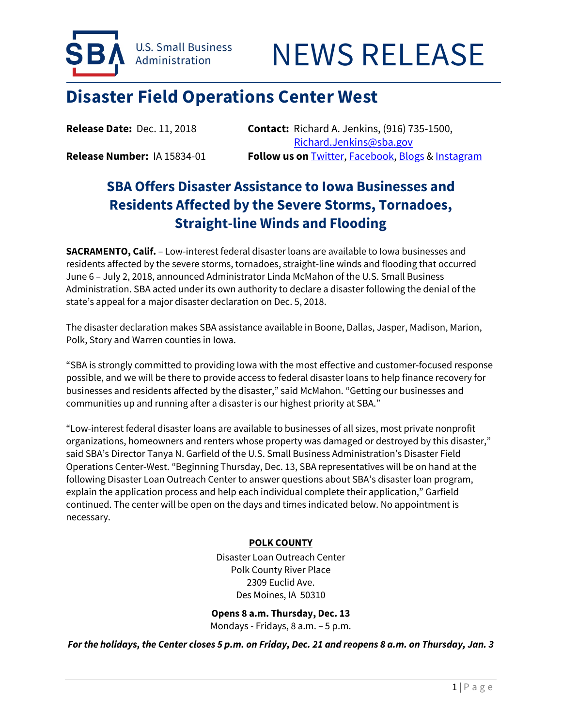



# **Disaster Field Operations Center West**

**Release Date:** Dec. 11, 2018 **Contact:** Richard A. Jenkins, (916) 735-1500, [Richard.Jenkins@sba.gov](mailto:Richard.Jenkins@sba.gov) **Release Number:** IA 15834-01 **Follow us on** [Twitter,](http://www.twitter.com/SBAgov) [Facebook,](http://www.facebook.com/sbagov) [Blogs](http://www.sba.gov/blogs) [& Instagram](https://www.instagram.com/sbagov/)

# **SBA Offers Disaster Assistance to Iowa Businesses and Residents Affected by the Severe Storms, Tornadoes,**

**Straight-line Winds and Flooding SACRAMENTO, Calif.** – Low-interest federal disaster loans are available to Iowa businesses and

residents affected by the severe storms, tornadoes, straight-line winds and flooding that occurred June 6 – July 2, 2018, announced Administrator Linda McMahon of the U.S. Small Business Administration. SBA acted under its own authority to declare a disaster following the denial of the state's appeal for a major disaster declaration on Dec. 5, 2018.

The disaster declaration makes SBA assistance available in Boone, Dallas, Jasper, Madison, Marion, Polk, Story and Warren counties in Iowa.

"SBA is strongly committed to providing Iowa with the most effective and customer-focused response possible, and we will be there to provide access to federal disaster loans to help finance recovery for businesses and residents affected by the disaster," said McMahon. "Getting our businesses and communities up and running after a disaster is our highest priority at SBA."

"Low-interest federal disaster loans are available to businesses of all sizes, most private nonprofit organizations, homeowners and renters whose property was damaged or destroyed by this disaster," said SBA's Director Tanya N. Garfield of the U.S. Small Business Administration's Disaster Field Operations Center-West. "Beginning Thursday, Dec. 13, SBA representatives will be on hand at the following Disaster Loan Outreach Center to answer questions about SBA's disaster loan program, explain the application process and help each individual complete their application," Garfield continued. The center will be open on the days and times indicated below. No appointment is necessary.

# **POLK COUNTY**

Disaster Loan Outreach Center Polk County River Place 2309 Euclid Ave. Des Moines, IA 50310

**Opens 8 a.m. Thursday, Dec. 13**  Mondays - Fridays, 8 a.m. – 5 p.m.

*For the holidays, the Center closes 5 p.m. on Friday, Dec. 21 and reopens 8 a.m. on Thursday, Jan. 3*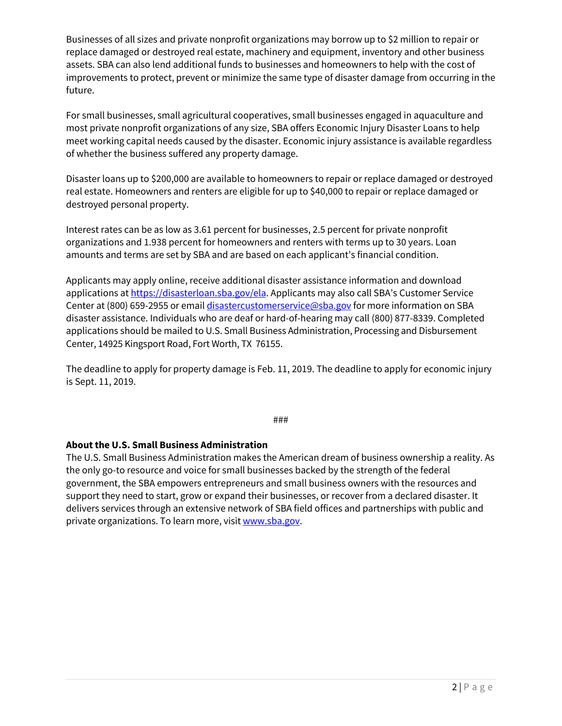Businesses of all sizes and private nonprofit organizations may borrow up to \$2 million to repair or replace damaged or destroyed real estate, machinery and equipment, inventory and other business assets. SBA can also lend additional funds to businesses and homeowners to help with the cost of improvements to protect, prevent or minimize the same type of disaster damage from occurring in the future.

For small businesses, small agricultural cooperatives, small businesses engaged in aquaculture and most private nonprofit organizations of any size, SBA offers Economic Injury Disaster Loans to help meet working capital needs caused by the disaster. Economic injury assistance is available regardless of whether the business suffered any property damage.

Disaster loans up to \$200,000 are available to homeowners to repair or replace damaged or destroyed real estate. Homeowners and renters are eligible for up to \$40,000 to repair or replace damaged or destroyed personal property.

Interest rates can be as low as 3.61 percent for businesses, 2.5 percent for private nonprofit organizations and 1.938 percent for homeowners and renters with terms up to 30 years. Loan amounts and terms are set by SBA and are based on each applicant's financial condition.

Applicants may apply online, receive additional disaster assistance information and download applications a[t https://disasterloan.sba.gov/ela.](https://disasterloan.sba.gov/ela) Applicants may also call SBA's Customer Service Center at (800) 659-2955 or emai[l disastercustomerservice@sba.gov](mailto:disastercustomerservice@sba.gov) for more information on SBA disaster assistance. Individuals who are deaf or hard-of-hearing may call (800) 877-8339. Completed applications should be mailed to U.S. Small Business Administration, Processing and Disbursement Center, 14925 Kingsport Road, Fort Worth, TX 76155.

The deadline to apply for property damage is Feb. 11, 2019. The deadline to apply for economic injury is Sept. 11, 2019.

###

# **About the U.S. Small Business Administration**

The U.S. Small Business Administration makes the American dream of business ownership a reality. As the only go-to resource and voice for small businesses backed by the strength of the federal government, the SBA empowers entrepreneurs and small business owners with the resources and support they need to start, grow or expand their businesses, or recover from a declared disaster. It delivers services through an extensive network of SBA field offices and partnerships with public and private organizations. To learn more, visi[t www.sba.gov.](http://www.sba.gov/)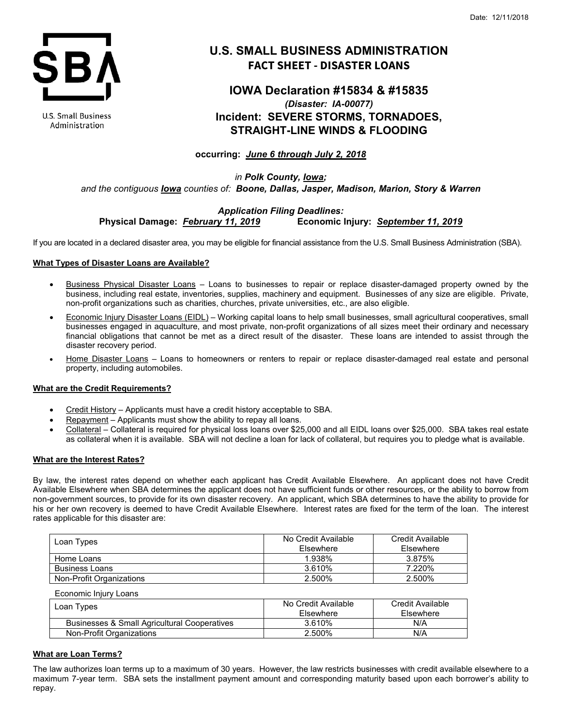

**U.S. Small Business** Administration

# **U.S. SMALL BUSINESS ADMINISTRATION FACT SHEET - DISASTER LOANS**

# **IOWA Declaration #15834 & #15835** *(Disaster: IA-00077)* **Incident: SEVERE STORMS, TORNADOES, STRAIGHT-LINE WINDS & FLOODING**

# **occurring:** *June 6 through July 2, 2018*

*in Polk County, Iowa; and the contiguous Iowa counties of: Boone, Dallas, Jasper, Madison, Marion, Story & Warren*

# *Application Filing Deadlines:* **Physical Damage:** *February 11, 2019* **Economic Injury:** *September 11, 2019*

If you are located in a declared disaster area, you may be eligible for financial assistance from the U.S. Small Business Administration (SBA).

## **What Types of Disaster Loans are Available?**

- Business Physical Disaster Loans Loans to businesses to repair or replace disaster-damaged property owned by the business, including real estate, inventories, supplies, machinery and equipment. Businesses of any size are eligible. Private, non-profit organizations such as charities, churches, private universities, etc., are also eligible.
- Economic Injury Disaster Loans (EIDL) Working capital loans to help small businesses, small agricultural cooperatives, small businesses engaged in aquaculture, and most private, non-profit organizations of all sizes meet their ordinary and necessary financial obligations that cannot be met as a direct result of the disaster. These loans are intended to assist through the disaster recovery period.
- Home Disaster Loans Loans to homeowners or renters to repair or replace disaster-damaged real estate and personal property, including automobiles.

## **What are the Credit Requirements?**

- Credit History Applicants must have a credit history acceptable to SBA.
- Repayment Applicants must show the ability to repay all loans.
- Collateral Collateral is required for physical loss loans over \$25,000 and all EIDL loans over \$25,000. SBA takes real estate as collateral when it is available. SBA will not decline a loan for lack of collateral, but requires you to pledge what is available.

## **What are the Interest Rates?**

By law, the interest rates depend on whether each applicant has Credit Available Elsewhere. An applicant does not have Credit Available Elsewhere when SBA determines the applicant does not have sufficient funds or other resources, or the ability to borrow from non-government sources, to provide for its own disaster recovery. An applicant, which SBA determines to have the ability to provide for his or her own recovery is deemed to have Credit Available Elsewhere. Interest rates are fixed for the term of the loan. The interest rates applicable for this disaster are:

| Loan Types               | No Credit Available<br>Elsewhere | Credit Available<br>Elsewhere |
|--------------------------|----------------------------------|-------------------------------|
| Home Loans               | 1.938%                           | 3.875%                        |
| <b>Business Loans</b>    | 3.610%                           | 7.220%                        |
| Non-Profit Organizations | 2.500%                           | 2.500%                        |

| Economic Injury Loans                        |                     |                  |
|----------------------------------------------|---------------------|------------------|
| Loan Types                                   | No Credit Available | Credit Available |
|                                              | Elsewhere           | Elsewhere        |
| Businesses & Small Agricultural Cooperatives | 3.610%              | N/A              |
| Non-Profit Organizations                     | 2.500%              | N/A              |

## **What are Loan Terms?**

The law authorizes loan terms up to a maximum of 30 years. However, the law restricts businesses with credit available elsewhere to a maximum 7-year term. SBA sets the installment payment amount and corresponding maturity based upon each borrower's ability to repay.